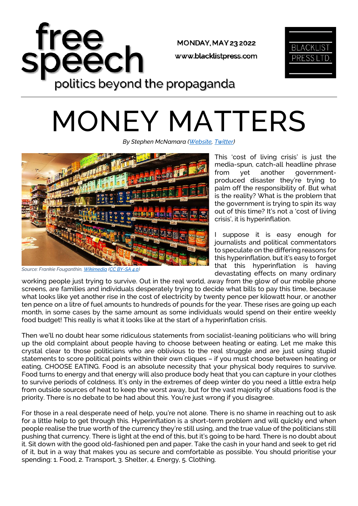

## MONEY MATTERS

*By Stephen McNamara [\(Website,](https://www.stephenmcnamara.org/) [Twitter\)](https://twitter.com/StephenMcLbrtrn)*



*Source: Frankie Fouganthin[, Wikimedia](https://upload.wikimedia.org/wikipedia/commons/4/41/Supermarket_shelves.jpg) [\(CC BY-SA 4.0\)](https://creativecommons.org/licenses/by-sa/4.0/deed.en)*

This 'cost of living crisis' is just the media-spun, catch-all headline phrase from yet another governmentproduced disaster they're trying to palm off the responsibility of. But what is the reality? What is the problem that the government is trying to spin its way out of this time? It's not a 'cost of living crisis', it is hyperinflation.

I suppose it is easy enough for journalists and political commentators to speculate on the differing reasons for this hyperinflation, but it's easy to forget that this hyperinflation is having devastating effects on many ordinary

working people just trying to survive. Out in the real world, away from the glow of our mobile phone screens, are families and individuals desperately trying to decide what bills to pay this time, because what looks like yet another rise in the cost of electricity by twenty pence per kilowatt hour, or another ten pence on a litre of fuel amounts to hundreds of pounds for the year. These rises are going up each month, in some cases by the same amount as some individuals would spend on their entire weekly food budget! This really is what it looks like at the start of a hyperinflation crisis.

Then we'll no doubt hear some ridiculous statements from socialist-leaning politicians who will bring up the old complaint about people having to choose between heating or eating. Let me make this crystal clear to those politicians who are oblivious to the real struggle and are just using stupid statements to score political points within their own cliques – if you must choose between heating or eating, CHOOSE EATING. Food is an absolute necessity that your physical body requires to survive. Food turns to energy and that energy will also produce body heat that you can capture in your clothes to survive periods of coldness. It's only in the extremes of deep winter do you need a little extra help from outside sources of heat to keep the worst away, but for the vast majority of situations food is the priority. There is no debate to be had about this. You're just wrong if you disagree.

For those in a real desperate need of help, you're not alone. There is no shame in reaching out to ask for a little help to get through this. Hyperinflation is a short-term problem and will quickly end when people realise the true worth of the currency they're still using, and the true value of the politicians still pushing that currency. There is light at the end of this, but it's going to be hard. There is no doubt about it. Sit down with the good old-fashioned pen and paper. Take the cash in your hand and seek to get rid of it, but in a way that makes you as secure and comfortable as possible. You should prioritise your spending: 1. Food, 2. Transport, 3. Shelter, 4. Energy, 5. Clothing.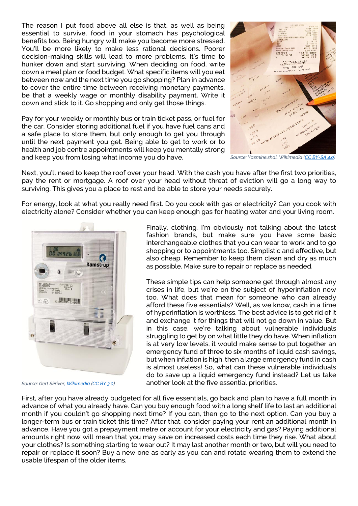The reason I put food above all else is that, as well as being essential to survive, food in your stomach has psychological benefits too. Being hungry will make you become more stressed. You'll be more likely to make less rational decisions. Poorer decision-making skills will lead to more problems. It's time to hunker down and start surviving. When deciding on food, write down a meal plan or food budget. What specific items will you eat between now and the next time you go shopping? Plan in advance to cover the entire time between receiving monetary payments, be that a weekly wage or monthly disability payment. Write it down and stick to it. Go shopping and only get those things.

Pay for your weekly or monthly bus or train ticket pass, or fuel for the car. Consider storing additional fuel if you have fuel cans and a safe place to store them, but only enough to get you through until the next payment you get. Being able to get to work or to health and job centre appointments will keep you mentally strong and keep you from losing what income you do have.



*Source: Yasmine.shal, Wikimedia [\(CC BY-SA 4.0\)](https://creativecommons.org/licenses/by-sa/4.0/deed.en)*

Next, you'll need to keep the roof over your head. With the cash you have after the first two priorities, pay the rent or mortgage. A roof over your head without threat of eviction will go a long way to surviving. This gives you a place to rest and be able to store your needs securely.

For energy, look at what you really need first. Do you cook with gas or electricity? Can you cook with electricity alone? Consider whether you can keep enough gas for heating water and your living room.



*Source: Gert Skriver[, Wikimedia](https://upload.wikimedia.org/wikipedia/commons/7/77/Kamstrup_Electricity_meter_382.jpg) [\(CC BY 3.0\)](https://creativecommons.org/licenses/by/3.0/deed.en)*

Finally, clothing. I'm obviously not talking about the latest fashion brands, but make sure you have some basic interchangeable clothes that you can wear to work and to go shopping or to appointments too. Simplistic and effective, but also cheap. Remember to keep them clean and dry as much as possible. Make sure to repair or replace as needed.

These simple tips can help someone get through almost any crises in life, but we're on the subject of hyperinflation now too. What does that mean for someone who can already afford these five essentials? Well, as we know, cash in a time of hyperinflation is worthless. The best advice is to get rid of it and exchange it for things that will not go down in value. But in this case, we're talking about vulnerable individuals struggling to get by on what little they do have. When inflation is at very low levels, it would make sense to put together an emergency fund of three to six months of liquid cash savings, but when inflation is high, then a large emergency fund in cash is almost useless! So, what can these vulnerable individuals do to save up a liquid emergency fund instead? Let us take another look at the five essential priorities.

First, after you have already budgeted for all five essentials, go back and plan to have a full month in advance of what you already have. Can you buy enough food with a long shelf life to last an additional month if you couldn't go shopping next time? If you can, then go to the next option. Can you buy a longer-term bus or train ticket this time? After that, consider paying your rent an additional month in advance. Have you got a prepayment metre or account for your electricity and gas? Paying additional amounts right now will mean that you may save on increased costs each time they rise. What about your clothes? Is something starting to wear out? It may last another month or two, but will you need to repair or replace it soon? Buy a new one as early as you can and rotate wearing them to extend the usable lifespan of the older items.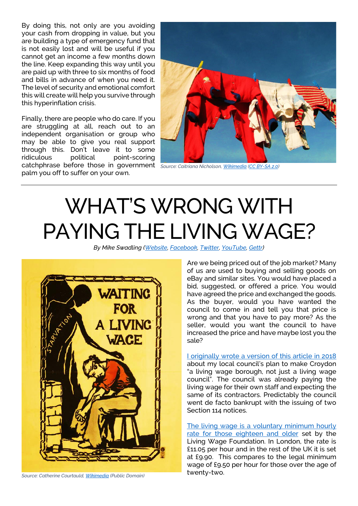By doing this, not only are you avoiding your cash from dropping in value, but you are building a type of emergency fund that is not easily lost and will be useful if you cannot get an income a few months down the line. Keep expanding this way until you are paid up with three to six months of food and bills in advance of when you need it. The level of security and emotional comfort this will create will help you survive through this hyperinflation crisis.

Finally, there are people who do care. If you are struggling at all, reach out to an independent organisation or group who may be able to give you real support through this. Don't leave it to some<br>ridiculous political point-scoring ridiculous political point-scoring catchphrase before those in government *Source: Caitriana Nicholson[, Wikimedia](https://upload.wikimedia.org/wikipedia/commons/d/d8/Washing_line_%286053908942%29.jpg) [\(CC BY-SA 2.0\)](https://creativecommons.org/licenses/by-sa/2.0/deed.en)* palm you off to suffer on your own.



## WHAT'S WRONG WITH PAYING THE LIVING WAGE?

*By Mike Swadling [\(Website,](http://croydonconstitutionalists.uk/) [Facebook,](https://www.facebook.com/CroydonConstitutionalists) [Twitter,](https://twitter.com/MikeSwadling) [YouTube,](https://www.youtube.com/channel/UCuUW5_IaMc9w0cCim5Wdj8Q/videos?view=0&sort=dd&shelf_id=1) [Gettr\)](https://gettr.com/user/mikeswadling)*



*Source: Catherine Courtauld[, Wikimedia](https://upload.wikimedia.org/wikipedia/commons/2/22/Waiting_for_a_Living_Wage_Poster_Catherine_Courtauld_1913.jpg) (Public Domain)*

Are we being priced out of the job market? Many of us are used to buying and selling goods on eBay and similar sites. You would have placed a bid, suggested, or offered a price. You would have agreed the price and exchanged the goods. As the buyer, would you have wanted the council to come in and tell you that price is wrong and that you have to pay more? As the seller, would you want the council to have increased the price and have maybe lost you the sale?

[I originally wrote a version of this article](https://www.webarchive.org.uk/wayback/archive/20190509001640/https:/thecroydoncitizen.com/economics-business/priced-croydon-job-market/) in 2018 about my local council's plan to make Croydon "a living wage borough, not just a living wage council". The council was already paying the living wage for their own staff and expecting the same of its contractors. Predictably the council went de facto bankrupt with the issuing of two Section 114 notices.

The living wage [is a voluntary minimum hourly](https://www.livingwage.org.uk/)  [rate for those eighteen](https://www.livingwage.org.uk/) and older set by the Living Wage Foundation. In London, the rate is £11.05 per hour and in the rest of the UK it is set at £9.90. This compares to the legal minimum wage of £9.50 per hour for those over the age of twenty-two.